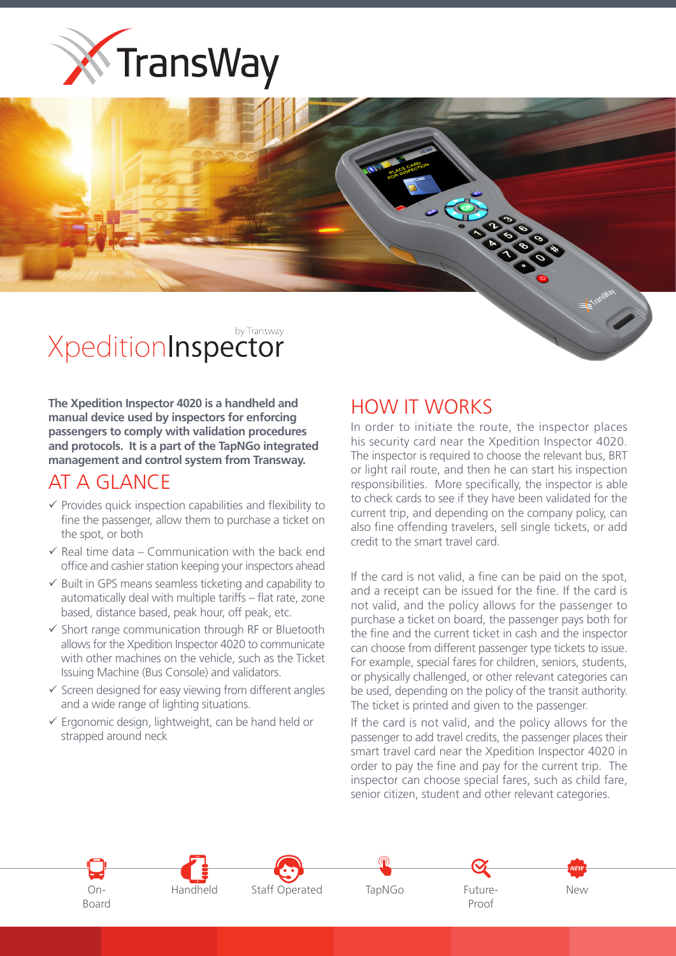



The Xpedition Inspector 4020 is a handheld and manual device used by inspectors for enforcing passengers to comply with validation procedures and protocols. It is a part of the TapNGo integrated management and control system from Transway.

## AT A GLANCE

- $\checkmark$  Provides quick inspection capabilities and flexibility to fine the passenger, allow them to purchase a ticket on the spot, or both
- $\checkmark$  Real time data Communication with the back end office and cashier station keeping your inspectors ahead
- $\checkmark$  Built in GPS means seamless ticketing and capability to automatically deal with multiple tariffs – flat rate, zone based, distance based, peak hour, off peak, etc.
- $\checkmark$  Short range communication through RF or Bluetooth allows for the Xpedition Inspector 4020 to communicate with other machines on the vehicle, such as the Ticket Issuing Machine (Bus Console) and validators.
- $\checkmark$  Screen designed for easy viewing from different angles and a wide range of lighting situations.
- $\checkmark$  Ergonomic design, lightweight, can be hand held or strapped around neck

## HOW IT WORKS

In order to initiate the route, the inspector places his security card near the Xpedition Inspector 4020. The inspector is required to choose the relevant bus, BRT or light rail route, and then he can start his inspection responsibilities. More specifically, the inspector is able to check cards to see if they have been validated for the current trip, and depending on the company policy, can also fine offending travelers, sell single tickets, or add credit to the smart travel card.

If the card is not valid, a fine can be paid on the spot, and a receipt can be issued for the fine. If the card is not valid, and the policy allows for the passenger to purchase a ticket on board, the passenger pays both for the fine and the current ticket in cash and the inspector can choose from different passenger type tickets to issue. For example, special fares for children, seniors, students, or physically challenged, or other relevant categories can be used, depending on the policy of the transit authority. The ticket is printed and given to the passenger.

If the card is not valid, and the policy allows for the passenger to add travel credits, the passenger places their smart travel card near the Xpedition Inspector 4020 in order to pay the fine and pay for the current trip. The inspector can choose special fares, such as child fare, senior citizen, student and other relevant categories.











Proof

New